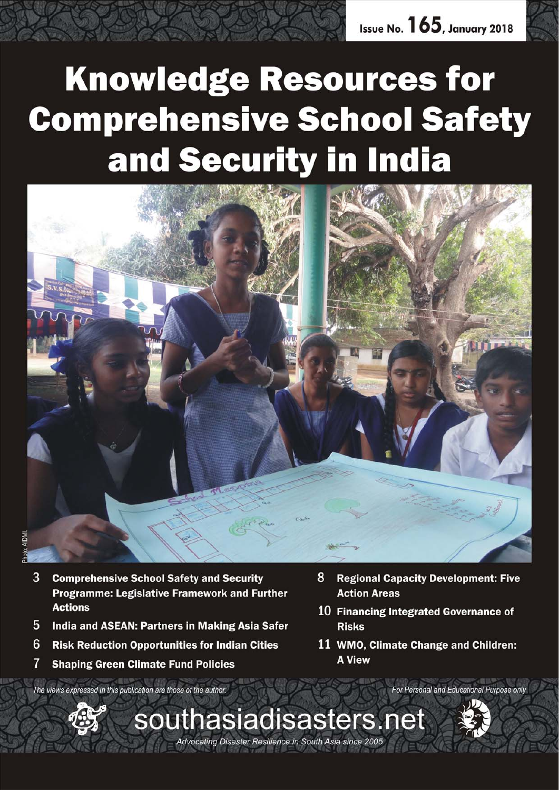# **Knowledge Resources for Comprehensive School Safety** and Security in India



- 3 **Comprehensive School Safety and Security Programme: Legislative Framework and Further Actions**
- 5 India and ASEAN: Partners in Making Asia Safer
- 6 **Risk Reduction Opportunities for Indian Cities**
- $\overline{7}$ **Shaping Green Climate Fund Policies**

8 **Regional Capacity Development: Five Action Areas** 

- 10 Financing Integrated Governance of **Risks**
- 11 WMO, Climate Change and Children: **A View**

The views expressed in this publication are those of the author.



For Personal and Educational Purpose only

Advocating Disaster Resilience in South Asia since 2005

southasiadisasters.net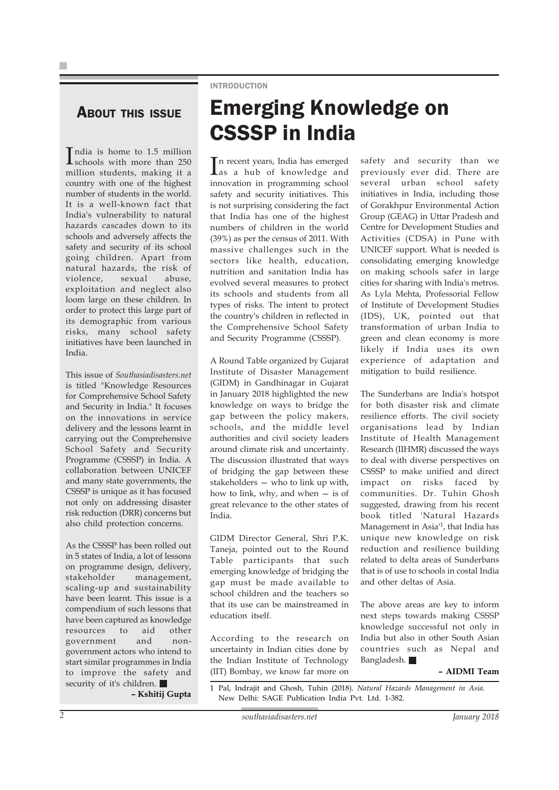#### **ABOUT THIS ISSUE**

India is home to 1.5 million<br>schools with more than 250 schools with more than 250 million students, making it a country with one of the highest number of students in the world. It is a well-known fact that India's vulnerability to natural hazards cascades down to its schools and adversely affects the safety and security of its school going children. Apart from natural hazards, the risk of violence, sexual abuse, exploitation and neglect also loom large on these children. In order to protect this large part of its demographic from various risks, many school safety initiatives have been launched in India.

This issue of *Southasiadisasters.net* is titled "Knowledge Resources for Comprehensive School Safety and Security in India." It focuses on the innovations in service delivery and the lessons learnt in carrying out the Comprehensive School Safety and Security Programme (CSSSP) in India. A collaboration between UNICEF and many state governments, the CSSSP is unique as it has focused not only on addressing disaster risk reduction (DRR) concerns but also child protection concerns.

As the CSSSP has been rolled out in 5 states of India, a lot of lessons on programme design, delivery, stakeholder management, scaling-up and sustainability have been learnt. This issue is a compendium of such lessons that have been captured as knowledge resources to aid other government and nongovernment actors who intend to start similar programmes in India to improve the safety and security of it's children.

**– Kshitij Gupta**

#### INTRODUCTION

# Emerging Knowledge on CSSSP in India

In recent years, India has emerged<br>as a hub of knowledge and as a hub of knowledge and innovation in programming school safety and security initiatives. This is not surprising considering the fact that India has one of the highest numbers of children in the world (39%) as per the census of 2011. With massive challenges such in the sectors like health, education, nutrition and sanitation India has evolved several measures to protect its schools and students from all types of risks. The intent to protect the country's children in reflected in the Comprehensive School Safety and Security Programme (CSSSP).

A Round Table organized by Gujarat Institute of Disaster Management (GIDM) in Gandhinagar in Gujarat in January 2018 highlighted the new knowledge on ways to bridge the gap between the policy makers, schools, and the middle level authorities and civil society leaders around climate risk and uncertainty. The discussion illustrated that ways of bridging the gap between these stakeholders — who to link up with, how to link, why, and when — is of great relevance to the other states of India.

GIDM Director General, Shri P.K. Taneja, pointed out to the Round Table participants that such emerging knowledge of bridging the gap must be made available to school children and the teachers so that its use can be mainstreamed in education itself.

According to the research on uncertainty in Indian cities done by the Indian Institute of Technology (IIT) Bombay, we know far more on safety and security than we previously ever did. There are several urban school safety initiatives in India, including those of Gorakhpur Environmental Action Group (GEAG) in Uttar Pradesh and Centre for Development Studies and Activities (CDSA) in Pune with UNICEF support. What is needed is consolidating emerging knowledge on making schools safer in large cities for sharing with India's metros. As Lyla Mehta, Professorial Fellow of Institute of Development Studies (IDS), UK, pointed out that transformation of urban India to green and clean economy is more likely if India uses its own experience of adaptation and mitigation to build resilience.

The Sunderbans are India's hotspot for both disaster risk and climate resilience efforts. The civil society organisations lead by Indian Institute of Health Management Research (IIHMR) discussed the ways to deal with diverse perspectives on CSSSP to make unified and direct impact on risks faced by communities. Dr. Tuhin Ghosh suggested, drawing from his recent book titled 'Natural Hazards Management in Asia'1, that India has unique new knowledge on risk reduction and resilience building related to delta areas of Sunderbans that is of use to schools in costal India and other deltas of Asia.

The above areas are key to inform next steps towards making CSSSP knowledge successful not only in India but also in other South Asian countries such as Nepal and Bangladesh.

#### *–* **AIDMI Team**

1 Pal, Indrajit and Ghosh, Tuhin (2018). *Natural Hazards Management in Asia.* New Delhi: SAGE Publication India Pvt. Ltd. 1-382.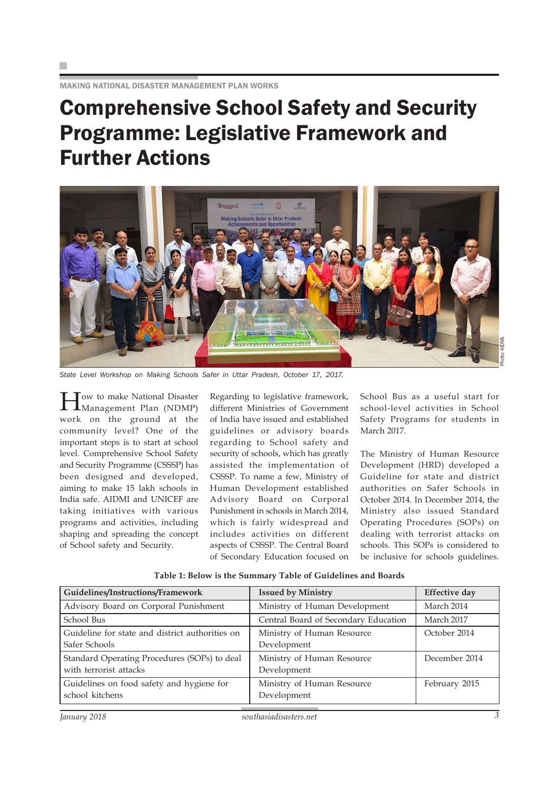MAKING NATIONAL DISASTER MANAGEMENT PLAN WORKS

# Comprehensive School Safety and Security Programme: Legislative Framework and Further Actions



*State Level Workshop on Making Schools Safer in Uttar Pradesh, October 17, 2017.*

Tow to make National Disaster Management Plan (NDMP) work on the ground at the community level? One of the important steps is to start at school level. Comprehensive School Safety and Security Programme (CSSSP) has been designed and developed, aiming to make 15 lakh schools in India safe. AIDMI and UNICEF are taking initiatives with various programs and activities, including shaping and spreading the concept of School safety and Security.

Regarding to legislative framework, different Ministries of Government of India have issued and established guidelines or advisory boards regarding to School safety and security of schools, which has greatly assisted the implementation of CSSSP. To name a few, Ministry of Human Development established Advisory Board on Corporal Punishment in schools in March 2014, which is fairly widespread and includes activities on different aspects of CSSSP. The Central Board of Secondary Education focused on School Bus as a useful start for school-level activities in School Safety Programs for students in March 2017.

The Ministry of Human Resource Development (HRD) developed a Guideline for state and district authorities on Safer Schools in October 2014. In December 2014, the Ministry also issued Standard Operating Procedures (SOPs) on dealing with terrorist attacks on schools. This SOPs is considered to be inclusive for schools guidelines.

| Guidelines/Instructions/Framework                                      | <b>Issued by Ministry</b>                 | <b>Effective day</b> |
|------------------------------------------------------------------------|-------------------------------------------|----------------------|
| Advisory Board on Corporal Punishment                                  | Ministry of Human Development             | March 2014           |
| School Bus                                                             | Central Board of Secondary Education      | March 2017           |
| Guideline for state and district authorities on<br>Safer Schools       | Ministry of Human Resource<br>Development | October 2014         |
| Standard Operating Procedures (SOPs) to deal<br>with terrorist attacks | Ministry of Human Resource<br>Development | December 2014        |
| Guidelines on food safety and hygiene for<br>school kitchens           | Ministry of Human Resource<br>Development | February 2015        |

**Table 1: Below is the Summary Table of Guidelines and Boards**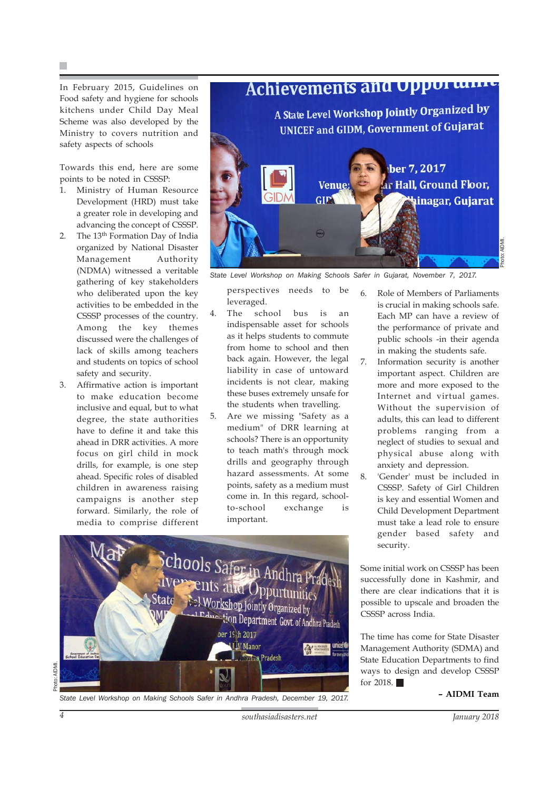In February 2015, Guidelines on Food safety and hygiene for schools kitchens under Child Day Meal Scheme was also developed by the Ministry to covers nutrition and safety aspects of schools

Towards this end, here are some points to be noted in CSSSP:

- 1. Ministry of Human Resource Development (HRD) must take a greater role in developing and advancing the concept of CSSSP.
- 2. The 13<sup>th</sup> Formation Day of India organized by National Disaster Management Authority (NDMA) witnessed a veritable gathering of key stakeholders who deliberated upon the key activities to be embedded in the CSSSP processes of the country. Among the key themes discussed were the challenges of lack of skills among teachers and students on topics of school safety and security.
- 3. Affirmative action is important to make education become inclusive and equal, but to what degree, the state authorities have to define it and take this ahead in DRR activities. A more focus on girl child in mock drills, for example, is one step ahead. Specific roles of disabled children in awareness raising campaigns is another step forward. Similarly, the role of media to comprise different



Photo: AIDMI.

*State Level Workshop on Making Schools Safer in Gujarat, November 7, 2017.*

perspectives needs to be leveraged.

- 4. The school bus is an indispensable asset for schools as it helps students to commute from home to school and then back again. However, the legal liability in case of untoward incidents is not clear, making these buses extremely unsafe for the students when travelling.
- 5. Are we missing "Safety as a medium" of DRR learning at schools? There is an opportunity to teach math's through mock drills and geography through hazard assessments. At some points, safety as a medium must come in. In this regard, schoolto-school exchange is important.



*State Level Workshop on Making Schools Safer in Andhra Pradesh, December 19, 2017.*

6. Role of Members of Parliaments is crucial in making schools safe. Each MP can have a review of the performance of private and public schools -in their agenda in making the students safe.

7. Information security is another important aspect. Children are more and more exposed to the Internet and virtual games. Without the supervision of adults, this can lead to different problems ranging from a neglect of studies to sexual and physical abuse along with anxiety and depression.

8. 'Gender' must be included in CSSSP. Safety of Girl Children is key and essential Women and Child Development Department must take a lead role to ensure gender based safety and security.

Some initial work on CSSSP has been successfully done in Kashmir, and there are clear indications that it is possible to upscale and broaden the CSSSP across India.

The time has come for State Disaster Management Authority (SDMA) and State Education Departments to find ways to design and develop CSSSP for 2018.  $\blacksquare$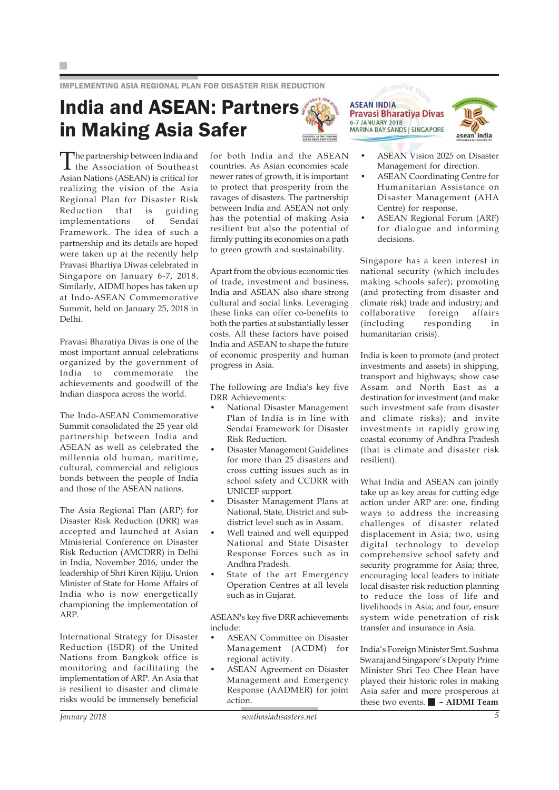IMPLEMENTING ASIA REGIONAL PLAN FOR DISASTER RISK REDUCTION

### India and ASEAN: Partners in Making Asia Safer



**ASEAN INDIA Pravasi Bharatiya Divas** 6-7 JANUARY 2018 MARINA BAY SANDS | SINGAPORE



The partnership between India and the Association of Southeast Asian Nations (ASEAN) is critical for realizing the vision of the Asia Regional Plan for Disaster Risk Reduction that is guiding implementations of Sendai Framework. The idea of such a partnership and its details are hoped were taken up at the recently help Pravasi Bhartiya Diwas celebrated in Singapore on January 6-7, 2018. Similarly, AIDMI hopes has taken up at Indo-ASEAN Commemorative Summit, held on January 25, 2018 in Delhi.

Pravasi Bharatiya Divas is one of the most important annual celebrations organized by the government of India to commemorate the achievements and goodwill of the Indian diaspora across the world.

The Indo-ASEAN Commemorative Summit consolidated the 25 year old partnership between India and ASEAN as well as celebrated the millennia old human, maritime, cultural, commercial and religious bonds between the people of India and those of the ASEAN nations.

The Asia Regional Plan (ARP) for Disaster Risk Reduction (DRR) was accepted and launched at Asian Ministerial Conference on Disaster Risk Reduction (AMCDRR) in Delhi in India, November 2016, under the leadership of Shri Kiren Rijiju, Union Minister of State for Home Affairs of India who is now energetically championing the implementation of ARP.

International Strategy for Disaster Reduction (ISDR) of the United Nations from Bangkok office is monitoring and facilitating the implementation of ARP. An Asia that is resilient to disaster and climate risks would be immensely beneficial for both India and the ASEAN countries. As Asian economies scale newer rates of growth, it is important to protect that prosperity from the ravages of disasters. The partnership between India and ASEAN not only has the potential of making Asia resilient but also the potential of firmly putting its economies on a path to green growth and sustainability.

Apart from the obvious economic ties of trade, investment and business, India and ASEAN also share strong cultural and social links. Leveraging these links can offer co-benefits to both the parties at substantially lesser costs. All these factors have poised India and ASEAN to shape the future of economic prosperity and human progress in Asia.

The following are India's key five DRR Achievements:

- National Disaster Management Plan of India is in line with Sendai Framework for Disaster Risk Reduction.
- Disaster Management Guidelines for more than 25 disasters and cross cutting issues such as in school safety and CCDRR with UNICEF support.
- Disaster Management Plans at National, State, District and subdistrict level such as in Assam.
- Well trained and well equipped National and State Disaster Response Forces such as in Andhra Pradesh.
- State of the art Emergency Operation Centres at all levels such as in Gujarat.

ASEAN's key five DRR achievements include:

- ASEAN Committee on Disaster Management (ACDM) for regional activity.
- ASEAN Agreement on Disaster Management and Emergency Response (AADMER) for joint action.
- ASEAN Vision 2025 on Disaster Management for direction.
- ASEAN Coordinating Centre for Humanitarian Assistance on Disaster Management (AHA Centre) for response.
- ASEAN Regional Forum (ARF) for dialogue and informing decisions.

Singapore has a keen interest in national security (which includes making schools safer); promoting (and protecting from disaster and climate risk) trade and industry; and collaborative foreign affairs (including responding in humanitarian crisis).

India is keen to promote (and protect investments and assets) in shipping, transport and highways; show case Assam and North East as a destination for investment (and make such investment safe from disaster and climate risks); and invite investments in rapidly growing coastal economy of Andhra Pradesh (that is climate and disaster risk resilient).

What India and ASEAN can jointly take up as key areas for cutting edge action under ARP are: one, finding ways to address the increasing challenges of disaster related displacement in Asia; two, using digital technology to develop comprehensive school safety and security programme for Asia; three, encouraging local leaders to initiate local disaster risk reduction planning to reduce the loss of life and livelihoods in Asia; and four, ensure system wide penetration of risk transfer and insurance in Asia.

India's Foreign Minister Smt. Sushma Swaraj and Singapore's Deputy Prime Minister Shri Teo Chee Hean have played their historic roles in making Asia safer and more prosperous at these two events. **– AIDMI Team**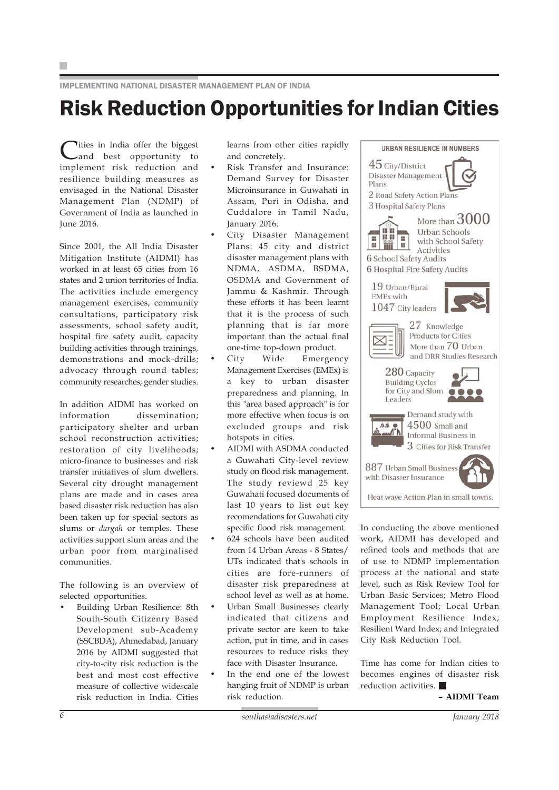IMPLEMENTING NATIONAL DISASTER MANAGEMENT PLAN OF INDIA

## Risk Reduction Opportunities for Indian Cities

Cities in India offer the biggest<br>
and best opportunity implement risk reduction and resilience building measures as envisaged in the National Disaster Management Plan (NDMP) of Government of India as launched in June 2016.

Since 2001, the All India Disaster Mitigation Institute (AIDMI) has worked in at least 65 cities from 16 states and 2 union territories of India. The activities include emergency management exercises, community consultations, participatory risk assessments, school safety audit, hospital fire safety audit, capacity building activities through trainings, demonstrations and mock-drills; advocacy through round tables; community researches; gender studies.

In addition AIDMI has worked on information dissemination; participatory shelter and urban school reconstruction activities; restoration of city livelihoods; micro-finance to businesses and risk transfer initiatives of slum dwellers. Several city drought management plans are made and in cases area based disaster risk reduction has also been taken up for special sectors as slums or *dargah* or temples. These activities support slum areas and the urban poor from marginalised communities.

The following is an overview of selected opportunities.

• Building Urban Resilience: 8th South-South Citizenry Based Development sub-Academy (SSCBDA), Ahmedabad, January 2016 by AIDMI suggested that city-to-city risk reduction is the best and most cost effective measure of collective widescale risk reduction in India. Cities learns from other cities rapidly and concretely.

- Risk Transfer and Insurance: Demand Survey for Disaster Microinsurance in Guwahati in Assam, Puri in Odisha, and Cuddalore in Tamil Nadu, January 2016.
- City Disaster Management Plans: 45 city and district disaster management plans with NDMA, ASDMA, BSDMA, OSDMA and Government of Jammu & Kashmir. Through these efforts it has been learnt that it is the process of such planning that is far more important than the actual final one-time top-down product.
	- City Wide Emergency Management Exercises (EMEx) is a key to urban disaster preparedness and planning. In this "area based approach" is for more effective when focus is on excluded groups and risk hotspots in cities.
- AIDMI with ASDMA conducted a Guwahati City-level review study on flood risk management. The study reviewd 25 key Guwahati focused documents of last 10 years to list out key recomendations for Guwahati city specific flood risk management.
- 624 schools have been audited from 14 Urban Areas - 8 States/ UTs indicated that's schools in cities are fore-runners of disaster risk preparedness at school level as well as at home.
- Urban Small Businesses clearly indicated that citizens and private sector are keen to take action, put in time, and in cases resources to reduce risks they face with Disaster Insurance.
- In the end one of the lowest hanging fruit of NDMP is urban risk reduction.



In conducting the above mentioned work, AIDMI has developed and refined tools and methods that are of use to NDMP implementation process at the national and state level, such as Risk Review Tool for Urban Basic Services; Metro Flood Management Tool; Local Urban Employment Resilience Index; Resilient Ward Index; and Integrated City Risk Reduction Tool.

Time has come for Indian cities to becomes engines of disaster risk reduction activities.  $\blacksquare$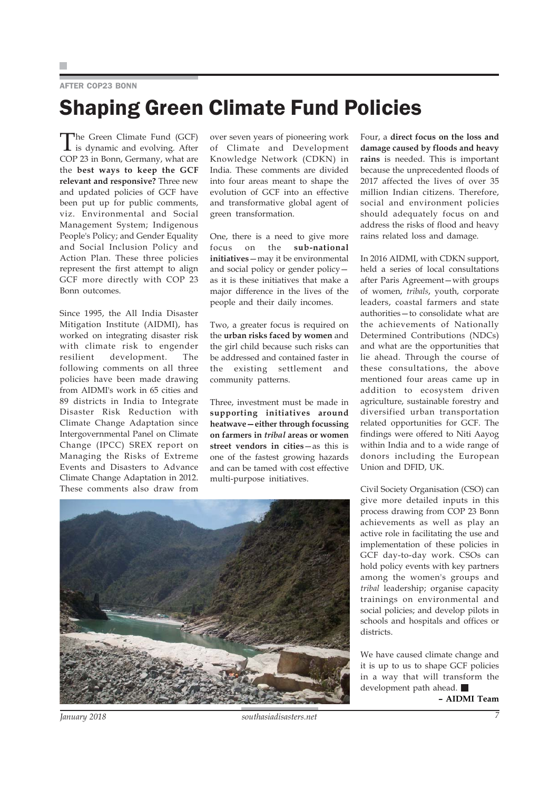#### AFTER COP23 BONN

# Shaping Green Climate Fund Policies

The Green Climate Fund (GCF) is dynamic and evolving. After COP 23 in Bonn, Germany, what are the **best ways to keep the GCF relevant and responsive?** Three new and updated policies of GCF have been put up for public comments, viz. Environmental and Social Management System; Indigenous People's Policy; and Gender Equality and Social Inclusion Policy and Action Plan. These three policies represent the first attempt to align GCF more directly with COP 23 Bonn outcomes.

Since 1995, the All India Disaster Mitigation Institute (AIDMI), has worked on integrating disaster risk with climate risk to engender resilient development. The following comments on all three policies have been made drawing from AIDMI's work in 65 cities and 89 districts in India to Integrate Disaster Risk Reduction with Climate Change Adaptation since Intergovernmental Panel on Climate Change (IPCC) SREX report on Managing the Risks of Extreme Events and Disasters to Advance Climate Change Adaptation in 2012. These comments also draw from over seven years of pioneering work of Climate and Development Knowledge Network (CDKN) in India. These comments are divided into four areas meant to shape the evolution of GCF into an effective and transformative global agent of green transformation.

One, there is a need to give more focus on the **sub-national initiatives**—may it be environmental and social policy or gender policy as it is these initiatives that make a major difference in the lives of the people and their daily incomes.

Two, a greater focus is required on the **urban risks faced by women** and the girl child because such risks can be addressed and contained faster in the existing settlement and community patterns.

Three, investment must be made in **supporting initiatives around heatwave—either through focussing on farmers in** *tribal* **areas or women street vendors in cities**—as this is one of the fastest growing hazards and can be tamed with cost effective multi-purpose initiatives.

Four, a **direct focus on the loss and damage caused by floods and heavy rains** is needed. This is important because the unprecedented floods of 2017 affected the lives of over 35 million Indian citizens. Therefore, social and environment policies should adequately focus on and address the risks of flood and heavy rains related loss and damage.

In 2016 AIDMI, with CDKN support, held a series of local consultations after Paris Agreement—with groups of women, *tribals*, youth, corporate leaders, coastal farmers and state authorities—to consolidate what are the achievements of Nationally Determined Contributions (NDCs) and what are the opportunities that lie ahead. Through the course of these consultations, the above mentioned four areas came up in addition to ecosystem driven agriculture, sustainable forestry and diversified urban transportation related opportunities for GCF. The findings were offered to Niti Aayog within India and to a wide range of donors including the European Union and DFID, UK.

Civil Society Organisation (CSO) can give more detailed inputs in this process drawing from COP 23 Bonn achievements as well as play an active role in facilitating the use and implementation of these policies in GCF day-to-day work. CSOs can hold policy events with key partners among the women's groups and *tribal* leadership; organise capacity trainings on environmental and social policies; and develop pilots in schools and hospitals and offices or districts.

We have caused climate change and it is up to us to shape GCF policies in a way that will transform the development path ahead.



*January 2018 southasiadisasters.net 7*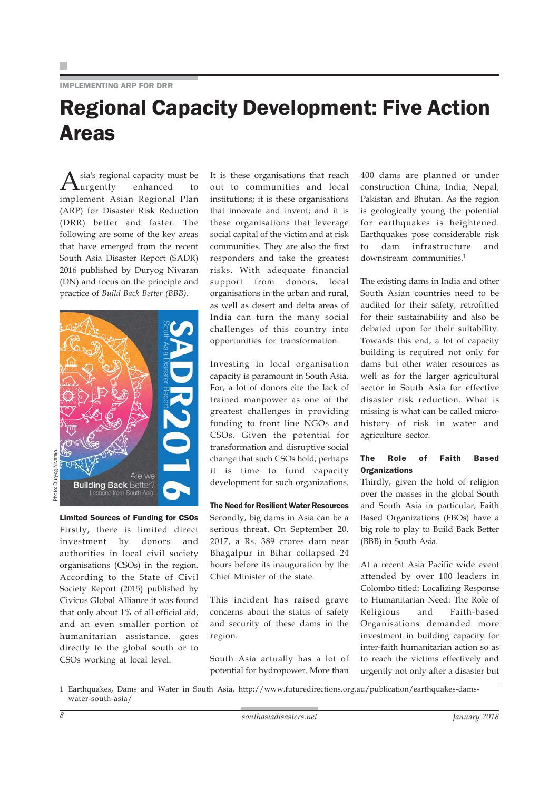#### IMPLEMENTING ARP FOR DRR

### Regional Capacity Development: Five Action Areas

sia's regional capacity must be<br>urgently enhanced to  $\mathbf{L}$ urgently implement Asian Regional Plan (ARP) for Disaster Risk Reduction (DRR) better and faster. The following are some of the key areas that have emerged from the recent South Asia Disaster Report (SADR) 2016 published by Duryog Nivaran (DN) and focus on the principle and practice of *Build Back Better (BBB)*.



Photo: Duryog Nivaran. Durvog

> Limited Sources of Funding for CSOs Firstly, there is limited direct investment by donors and authorities in local civil society organisations (CSOs) in the region. According to the State of Civil Society Report (2015) published by Civicus Global Alliance it was found that only about 1% of all official aid, and an even smaller portion of humanitarian assistance, goes directly to the global south or to CSOs working at local level.

It is these organisations that reach out to communities and local institutions; it is these organisations that innovate and invent; and it is these organisations that leverage social capital of the victim and at risk communities. They are also the first responders and take the greatest risks. With adequate financial support from donors, local organisations in the urban and rural, as well as desert and delta areas of India can turn the many social challenges of this country into opportunities for transformation.

Investing in local organisation capacity is paramount in South Asia. For, a lot of donors cite the lack of trained manpower as one of the greatest challenges in providing funding to front line NGOs and CSOs. Given the potential for transformation and disruptive social change that such CSOs hold, perhaps it is time to fund capacity development for such organizations.

The Need for Resilient Water Resources Secondly, big dams in Asia can be a serious threat. On September 20, 2017, a Rs. 389 crores dam near Bhagalpur in Bihar collapsed 24 hours before its inauguration by the Chief Minister of the state.

This incident has raised grave concerns about the status of safety and security of these dams in the region.

South Asia actually has a lot of potential for hydropower. More than

400 dams are planned or under construction China, India, Nepal, Pakistan and Bhutan. As the region is geologically young the potential for earthquakes is heightened. Earthquakes pose considerable risk to dam infrastructure and downstream communities.1

The existing dams in India and other South Asian countries need to be audited for their safety, retrofitted for their sustainability and also be debated upon for their suitability. Towards this end, a lot of capacity building is required not only for dams but other water resources as well as for the larger agricultural sector in South Asia for effective disaster risk reduction. What is missing is what can be called microhistory of risk in water and agriculture sector.

#### The Role of Faith Based **Organizations**

Thirdly, given the hold of religion over the masses in the global South and South Asia in particular, Faith Based Organizations (FBOs) have a big role to play to Build Back Better (BBB) in South Asia.

At a recent Asia Pacific wide event attended by over 100 leaders in Colombo titled: Localizing Response to Humanitarian Need: The Role of Religious and Faith-based Organisations demanded more investment in building capacity for inter-faith humanitarian action so as to reach the victims effectively and urgently not only after a disaster but

1 Earthquakes, Dams and Water in South Asia, http://www.futuredirections.org.au/publication/earthquakes-damswater-south-asia/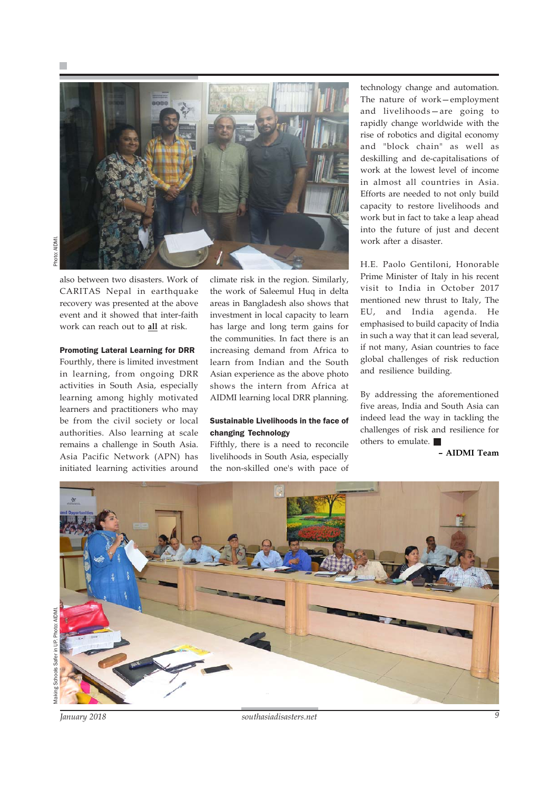

also between two disasters. Work of CARITAS Nepal in earthquake recovery was presented at the above event and it showed that inter-faith work can reach out to **all** at risk.

#### Promoting Lateral Learning for DRR

Fourthly, there is limited investment in learning, from ongoing DRR activities in South Asia, especially learning among highly motivated learners and practitioners who may be from the civil society or local authorities. Also learning at scale remains a challenge in South Asia. Asia Pacific Network (APN) has initiated learning activities around climate risk in the region. Similarly, the work of Saleemul Huq in delta areas in Bangladesh also shows that investment in local capacity to learn has large and long term gains for the communities. In fact there is an increasing demand from Africa to learn from Indian and the South Asian experience as the above photo shows the intern from Africa at AIDMI learning local DRR planning.

#### Sustainable Livelihoods in the face of changing Technology

Fifthly, there is a need to reconcile livelihoods in South Asia, especially the non-skilled one's with pace of

technology change and automation. The nature of work—employment and livelihoods—are going to rapidly change worldwide with the rise of robotics and digital economy and "block chain" as well as deskilling and de-capitalisations of work at the lowest level of income in almost all countries in Asia. Efforts are needed to not only build capacity to restore livelihoods and work but in fact to take a leap ahead into the future of just and decent work after a disaster.

H.E. Paolo Gentiloni, Honorable Prime Minister of Italy in his recent visit to India in October 2017 mentioned new thrust to Italy, The EU, and India agenda. He emphasised to build capacity of India in such a way that it can lead several, if not many, Asian countries to face global challenges of risk reduction and resilience building.

By addressing the aforementioned five areas, India and South Asia can indeed lead the way in tackling the challenges of risk and resilience for others to emulate.



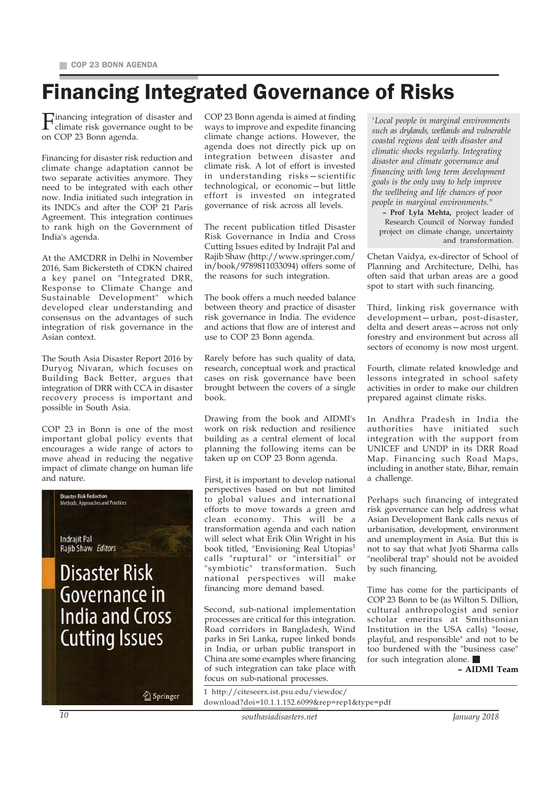## Financing Integrated Governance of Risks

Financing integration of disaster and climate risk governance ought to be on COP 23 Bonn agenda.

Financing for disaster risk reduction and climate change adaptation cannot be two separate activities anymore. They need to be integrated with each other now. India initiated such integration in its INDCs and after the COP 21 Paris Agreement. This integration continues to rank high on the Government of India's agenda.

At the AMCDRR in Delhi in November 2016, Sam Bickersteth of CDKN chaired a key panel on "Integrated DRR, Response to Climate Change and Sustainable Development" which developed clear understanding and consensus on the advantages of such integration of risk governance in the Asian context.

The South Asia Disaster Report 2016 by Duryog Nivaran, which focuses on Building Back Better, argues that integration of DRR with CCA in disaster recovery process is important and possible in South Asia.

COP 23 in Bonn is one of the most important global policy events that encourages a wide range of actors to move ahead in reducing the negative impact of climate change on human life and nature.



COP 23 Bonn agenda is aimed at finding ways to improve and expedite financing climate change actions. However, the agenda does not directly pick up on integration between disaster and climate risk. A lot of effort is invested in understanding risks—scientific technological, or economic—but little effort is invested on integrated governance of risk across all levels.

The recent publication titled Disaster Risk Governance in India and Cross Cutting Issues edited by Indrajit Pal and Rajib Shaw (http://www.springer.com/ in/book/9789811033094) offers some of the reasons for such integration.

The book offers a much needed balance between theory and practice of disaster risk governance in India. The evidence and actions that flow are of interest and use to COP 23 Bonn agenda.

Rarely before has such quality of data, research, conceptual work and practical cases on risk governance have been brought between the covers of a single book.

Drawing from the book and AIDMI's work on risk reduction and resilience building as a central element of local planning the following items can be taken up on COP 23 Bonn agenda.

First, it is important to develop national perspectives based on but not limited to global values and international efforts to move towards a green and clean economy. This will be a transformation agenda and each nation will select what Erik Olin Wright in his book titled, "Envisioning Real Utopias<sup>1</sup> calls "ruptural" or "intersitial" or "symbiotic" transformation. Such national perspectives will make financing more demand based.

Second, sub-national implementation processes are critical for this integration. Road corridors in Bangladesh, Wind parks in Sri Lanka, rupee linked bonds in India, or urban public transport in China are some examples where financing of such integration can take place with focus on sub-national processes.

*'Local people in marginal environments such as drylands, wetlands and vulnerable coastal regions deal with disaster and climatic shocks regularly. Integrating disaster and climate governance and financing with long term development goals is the only way to help improve the wellbeing and life chances of poor people in marginal environments."*

**– Prof Lyla Mehta,** project leader of Research Council of Norway funded project on climate change, uncertainty and transformation.

Chetan Vaidya, ex-director of School of Planning and Architecture, Delhi, has often said that urban areas are a good spot to start with such financing.

Third, linking risk governance with development—urban, post-disaster, delta and desert areas—across not only forestry and environment but across all sectors of economy is now most urgent.

Fourth, climate related knowledge and lessons integrated in school safety activities in order to make our children prepared against climate risks.

In Andhra Pradesh in India the authorities have initiated such integration with the support from UNICEF and UNDP in its DRR Road Map. Financing such Road Maps, including in another state, Bihar, remain a challenge.

Perhaps such financing of integrated risk governance can help address what Asian Development Bank calls nexus of urbanisation, development, environment and unemployment in Asia. But this is not to say that what Jyoti Sharma calls "neoliberal trap" should not be avoided by such financing.

Time has come for the participants of COP 23 Bonn to be (as Wilton S. Dillion, cultural anthropologist and senior scholar emeritus at Smithsonian Institution in the USA calls) "loose, playful, and responsible" and not to be too burdened with the "business case" for such integration alone.

**– AIDMI Team**

| ıger | 1 http://citeseerx.ist.psu.edu/viewdoc/<br>download?doi=10.1.1.152.6099&rep=rep1&type=pdf |
|------|-------------------------------------------------------------------------------------------|
|------|-------------------------------------------------------------------------------------------|

*10 southasiadisasters.net January 2018*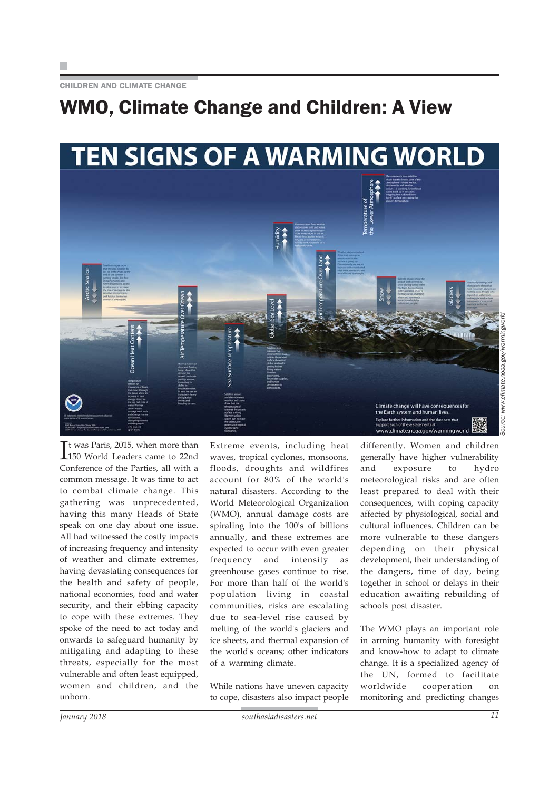CHILDREN AND CLIMATE CHANGE

### WMO, Climate Change and Children: A View



It was Paris, 2015, when more than<br>150 World Leaders came to 22nd t was Paris, 2015, when more than Conference of the Parties, all with a common message. It was time to act to combat climate change. This gathering was unprecedented, having this many Heads of State speak on one day about one issue. All had witnessed the costly impacts of increasing frequency and intensity of weather and climate extremes, having devastating consequences for the health and safety of people, national economies, food and water security, and their ebbing capacity to cope with these extremes. They spoke of the need to act today and onwards to safeguard humanity by mitigating and adapting to these threats, especially for the most vulnerable and often least equipped, women and children, and the unborn.

Extreme events, including heat waves, tropical cyclones, monsoons, floods, droughts and wildfires account for 80% of the world's natural disasters. According to the World Meteorological Organization (WMO), annual damage costs are spiraling into the 100's of billions annually, and these extremes are expected to occur with even greater frequency and intensity as greenhouse gases continue to rise. For more than half of the world's population living in coastal communities, risks are escalating due to sea-level rise caused by melting of the world's glaciers and ice sheets, and thermal expansion of the world's oceans; other indicators of a warming climate.

While nations have uneven capacity to cope, disasters also impact people

differently. Women and children generally have higher vulnerability and exposure to hydro meteorological risks and are often least prepared to deal with their consequences, with coping capacity affected by physiological, social and cultural influences. Children can be more vulnerable to these dangers depending on their physical development, their understanding of the dangers, time of day, being together in school or delays in their education awaiting rebuilding of schools post disaster.

The WMO plays an important role in arming humanity with foresight and know-how to adapt to climate change. It is a specialized agency of the UN, formed to facilitate worldwide cooperation on monitoring and predicting changes